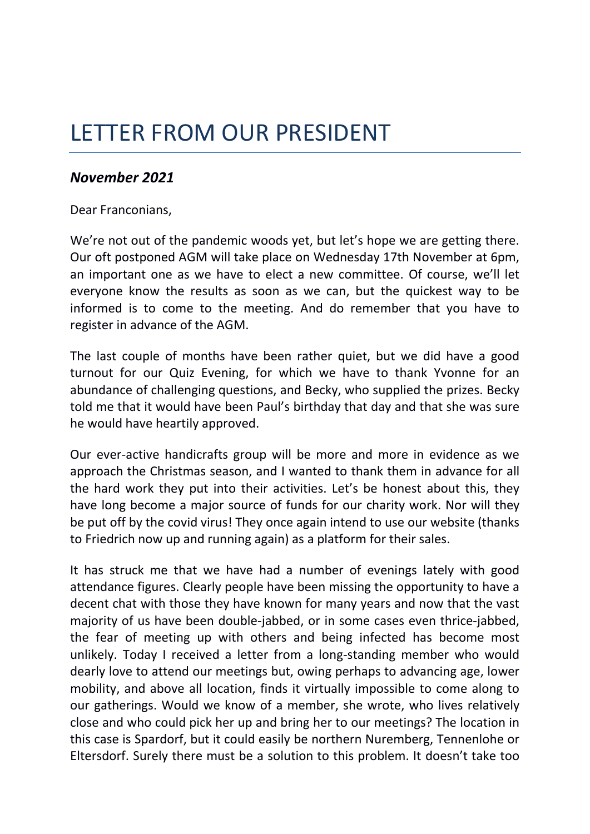## LETTER FROM OUR PRESIDENT

## *November 2021*

## Dear Franconians,

We're not out of the pandemic woods yet, but let's hope we are getting there. Our oft postponed AGM will take place on Wednesday 17th November at 6pm, an important one as we have to elect a new committee. Of course, we'll let everyone know the results as soon as we can, but the quickest way to be informed is to come to the meeting. And do remember that you have to register in advance of the AGM.

The last couple of months have been rather quiet, but we did have a good turnout for our Quiz Evening, for which we have to thank Yvonne for an abundance of challenging questions, and Becky, who supplied the prizes. Becky told me that it would have been Paul's birthday that day and that she was sure he would have heartily approved.

Our ever-active handicrafts group will be more and more in evidence as we approach the Christmas season, and I wanted to thank them in advance for all the hard work they put into their activities. Let's be honest about this, they have long become a major source of funds for our charity work. Nor will they be put off by the covid virus! They once again intend to use our website (thanks to Friedrich now up and running again) as a platform for their sales.

It has struck me that we have had a number of evenings lately with good attendance figures. Clearly people have been missing the opportunity to have a decent chat with those they have known for many years and now that the vast majority of us have been double-jabbed, or in some cases even thrice-jabbed, the fear of meeting up with others and being infected has become most unlikely. Today I received a letter from a long-standing member who would dearly love to attend our meetings but, owing perhaps to advancing age, lower mobility, and above all location, finds it virtually impossible to come along to our gatherings. Would we know of a member, she wrote, who lives relatively close and who could pick her up and bring her to our meetings? The location in this case is Spardorf, but it could easily be northern Nuremberg, Tennenlohe or Eltersdorf. Surely there must be a solution to this problem. It doesn't take too